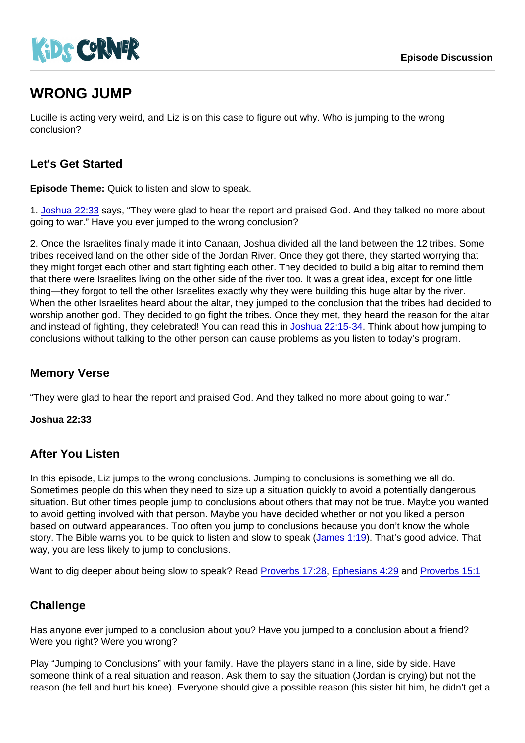# WRONG JUMP

Lucille is acting very weird, and Liz is on this case to figure out why. Who is jumping to the wrong conclusion?

## Let's Get Started

Episode Theme: Quick to listen and slow to speak.

1. [Joshua 22:33](https://www.biblegateway.com/passage/?search=Joshua+22:33) says, "They were glad to hear the report and praised God. And they talked no more about going to war." Have you ever jumped to the wrong conclusion?

2. Once the Israelites finally made it into Canaan, Joshua divided all the land between the 12 tribes. Some tribes received land on the other side of the Jordan River. Once they got there, they started worrying that they might forget each other and start fighting each other. They decided to build a big altar to remind them that there were Israelites living on the other side of the river too. It was a great idea, except for one little thing—they forgot to tell the other Israelites exactly why they were building this huge altar by the river. When the other Israelites heard about the altar, they jumped to the conclusion that the tribes had decided to worship another god. They decided to go fight the tribes. Once they met, they heard the reason for the altar and instead of fighting, they celebrated! You can read this in [Joshua 22:15-34](https://www.biblegateway.com/passage/?search=Joshua+22:15-34). Think about how jumping to conclusions without talking to the other person can cause problems as you listen to today's program.

#### Memory Verse

"They were glad to hear the report and praised God. And they talked no more about going to war."

Joshua 22:33

#### After You Listen

In this episode, Liz jumps to the wrong conclusions. Jumping to conclusions is something we all do. Sometimes people do this when they need to size up a situation quickly to avoid a potentially dangerous situation. But other times people jump to conclusions about others that may not be true. Maybe you wanted to avoid getting involved with that person. Maybe you have decided whether or not you liked a person based on outward appearances. Too often you jump to conclusions because you don't know the whole story. The Bible warns you to be quick to listen and slow to speak ([James 1:19\)](https://www.biblegateway.com/passage/?search=James+1:19). That's good advice. That way, you are less likely to jump to conclusions.

Want to dig deeper about being slow to speak? Read [Proverbs 17:28](https://www.biblegateway.com/passage/?search=Proverbs+17:28), [Ephesians 4:29](https://www.biblegateway.com/passage/?search=Ephesians+4:29) and [Proverbs 15:1](https://www.biblegateway.com/passage/?search=Proverbs+15:1)

#### **Challenge**

Has anyone ever jumped to a conclusion about you? Have you jumped to a conclusion about a friend? Were you right? Were you wrong?

Play "Jumping to Conclusions" with your family. Have the players stand in a line, side by side. Have someone think of a real situation and reason. Ask them to say the situation (Jordan is crying) but not the reason (he fell and hurt his knee). Everyone should give a possible reason (his sister hit him, he didn't get a